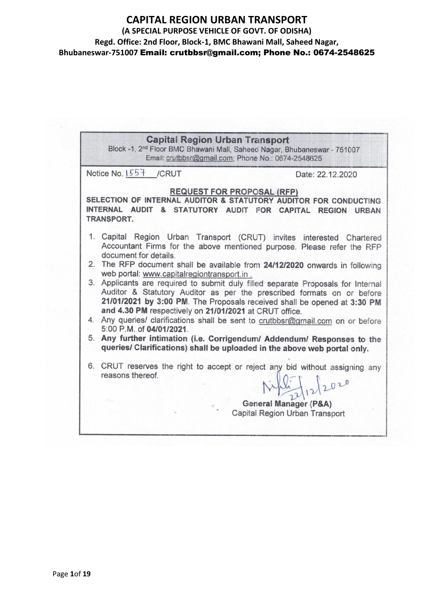# **CAPITAL REGION URBAN TRANSPORT**

**(A SPECIAL PURPOSE VEHICLE OF GOVT. OF ODISHA)**

**Regd. Office: 2nd Floor, Block-1, BMC Bhawani Mall, Saheed Nagar,** 

**Bhubaneswar-751007** Email: crutbbsr@gmail.com; Phone No.: 0674-2548625

**Capital Region Urban Transport** Block -1, 2<sup>nd</sup> Floor BMC Bhawani Mall, Saheed Nagar, Bhubaneswar - 751007 Email: crutbbsr@gmail.com; Phone No.: 0674-2548625 Notice No. 1557 /CRUT Date: 22.12.2020 **REQUEST FOR PROPOSAL (RFP)** SELECTION OF INTERNAL AUDITOR & STATUTORY AUDITOR FOR CONDUCTING INTERNAL AUDIT & STATUTORY AUDIT FOR CAPITAL REGION URBAN TRANSPORT. 1. Capital Region Urban Transport (CRUT) invites interested Chartered Accountant Firms for the above mentioned purpose. Please refer the RFP document for details. 2. The RFP document shall be available from 24/12/2020 onwards in following web portal: www.capitalregiontransport.in. 3. Applicants are required to submit duly filled separate Proposals for Internal Auditor & Statutory Auditor as per the prescribed formats on or before 21/01/2021 by 3:00 PM. The Proposals received shall be opened at 3:30 PM and 4.30 PM respectively on 21/01/2021 at CRUT office. 4. Any queries/ clarifications shall be sent to crutbbsr@gmail.com on or before 5:00 P.M. of 04/01/2021. 5. Any further intimation (i.e. Corrigendum/ Addendum/ Responses to the queries/ Clarifications) shall be uploaded in the above web portal only. 6. CRUT reserves the right to accept or reject any bid without assigning any reasons thereof General Manager (P&A) Capital Region Urban Transport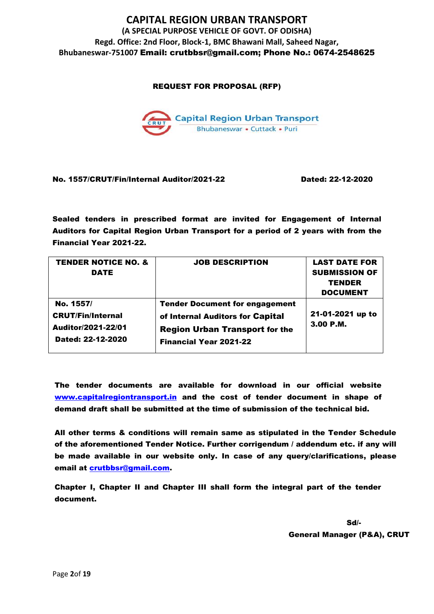REQUEST FOR PROPOSAL (RFP)



### No. 1557/CRUT/Fin/Internal Auditor/2021-22 Dated: 22-12-2020

Sealed tenders in prescribed format are invited for Engagement of Internal Auditors for Capital Region Urban Transport for a period of 2 years with from the Financial Year 2021-22.

| <b>TENDER NOTICE NO. &amp;</b><br>DATE                                           | <b>JOB DESCRIPTION</b>                                                                                                                              | <b>LAST DATE FOR</b><br><b>SUBMISSION OF</b><br><b>TENDER</b><br><b>DOCUMENT</b> |
|----------------------------------------------------------------------------------|-----------------------------------------------------------------------------------------------------------------------------------------------------|----------------------------------------------------------------------------------|
| No. 1557/<br><b>CRUT/Fin/Internal</b><br>Auditor/2021-22/01<br>Dated: 22-12-2020 | <b>Tender Document for engagement</b><br>of Internal Auditors for Capital<br><b>Region Urban Transport for the</b><br><b>Financial Year 2021-22</b> | 21-01-2021 up to<br>3.00 P.M.                                                    |

The tender documents are available for download in our official website www.capitalregiontransport.in and the cost of tender document in shape of demand draft shall be submitted at the time of submission of the technical bid.

All other terms & conditions will remain same as stipulated in the Tender Schedule of the aforementioned Tender Notice. Further corrigendum / addendum etc. if any will be made available in our website only. In case of any query/clarifications, please email at [crutbbsr@gmail.com.](mailto:crutbbsr@gmail.com)

Chapter I, Chapter II and Chapter III shall form the integral part of the tender document.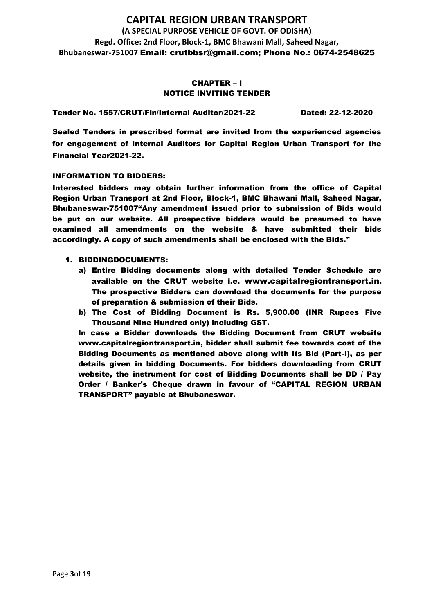### CHAPTER – I NOTICE INVITING TENDER

Tender No. 1557/CRUT/Fin/Internal Auditor/2021-22 Dated: 22-12-2020

Sealed Tenders in prescribed format are invited from the experienced agencies for engagement of Internal Auditors for Capital Region Urban Transport for the Financial Year2021-22.

### INFORMATION TO BIDDERS:

Interested bidders may obtain further information from the office of Capital Region Urban Transport at 2nd Floor, Block-1, BMC Bhawani Mall, Saheed Nagar, Bhubaneswar-751007"Any amendment issued prior to submission of Bids would be put on our website. All prospective bidders would be presumed to have examined all amendments on the website & have submitted their bids accordingly. A copy of such amendments shall be enclosed with the Bids."

- 1. BIDDINGDOCUMENTS:
	- a) Entire Bidding documents along with detailed Tender Schedule are available on the CRUT website i.e. [www.capitalregiontransport.in](http://www.birdgroup.co.in/). The prospective Bidders can download the documents for the purpose of preparation & submission of their Bids.
	- b) The Cost of Bidding Document is Rs. 5,900.00 (INR Rupees Five Thousand Nine Hundred only) including GST.

In case a Bidder downloads the Bidding Document from CRUT website [www.capitalregiontransport.in,](http://www.birdgroup.co.in/) bidder shall submit fee towards cost of the Bidding Documents as mentioned above along with its Bid (Part-I), as per details given in bidding Documents. For bidders downloading from CRUT website, the instrument for cost of Bidding Documents shall be DD / Pay Order / Banker's Cheque drawn in favour of "CAPITAL REGION URBAN TRANSPORT" payable at Bhubaneswar.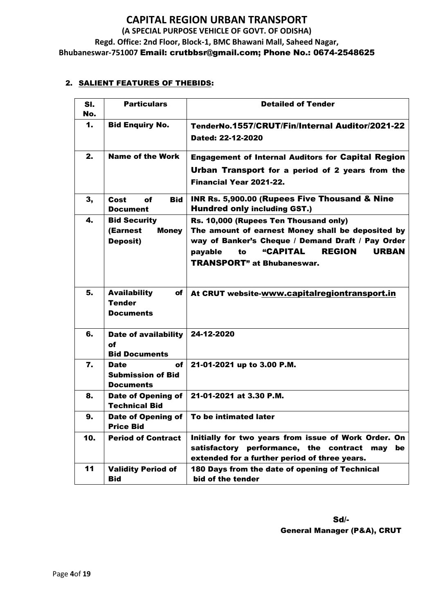### 2. SALIENT FEATURES OF THEBIDS:

| SI.<br>No.    | <b>Particulars</b>                                                 | <b>Detailed of Tender</b>                                                                                                                                                                                                                                  |  |
|---------------|--------------------------------------------------------------------|------------------------------------------------------------------------------------------------------------------------------------------------------------------------------------------------------------------------------------------------------------|--|
| $\mathbf 1$ . | <b>Bid Enquiry No.</b>                                             | TenderNo.1557/CRUT/Fin/Internal Auditor/2021-22<br>Dated: 22-12-2020                                                                                                                                                                                       |  |
| 2.            | <b>Name of the Work</b>                                            | <b>Engagement of Internal Auditors for Capital Region</b><br>Urban Transport for a period of 2 years from the<br>Financial Year 2021-22.                                                                                                                   |  |
| 3,            | Cost<br>of<br><b>Bid</b><br>Document                               | <b>INR Rs. 5,900.00 (Rupees Five Thousand &amp; Nine)</b><br><b>Hundred only including GST.)</b>                                                                                                                                                           |  |
| 4.            | <b>Bid Security</b><br>(Earnest<br><b>Money</b><br><b>Deposit)</b> | Rs. 10,000 (Rupees Ten Thousand only)<br>The amount of earnest Money shall be deposited by<br>way of Banker's Cheque / Demand Draft / Pay Order<br><b>"CAPITAL</b><br><b>REGION</b><br><b>URBAN</b><br>payable<br>to<br><b>TRANSPORT</b> " at Bhubaneswar. |  |
| 5.            | <b>Availability</b><br>of<br><b>Tender</b><br><b>Documents</b>     | At CRUT website-www.capitalregiontransport.in                                                                                                                                                                                                              |  |
| 6.            | Date of availability<br>of<br><b>Bid Documents</b>                 | 24-12-2020                                                                                                                                                                                                                                                 |  |
| 7.            | of<br><b>Date</b><br><b>Submission of Bid</b><br><b>Documents</b>  | 21-01-2021 up to 3.00 P.M.                                                                                                                                                                                                                                 |  |
| 8.            | Date of Opening of<br><b>Technical Bid</b>                         | 21-01-2021 at 3.30 P.M.                                                                                                                                                                                                                                    |  |
| 9.            | Date of Opening of<br><b>Price Bid</b>                             | To be intimated later                                                                                                                                                                                                                                      |  |
| 10.           | <b>Period of Contract</b>                                          | Initially for two years from issue of Work Order. On<br>satisfactory performance, the contract<br>be<br>may<br>extended for a further period of three years.                                                                                               |  |
| 11            | <b>Validity Period of</b><br><b>Bid</b>                            | 180 Days from the date of opening of Technical<br>bid of the tender                                                                                                                                                                                        |  |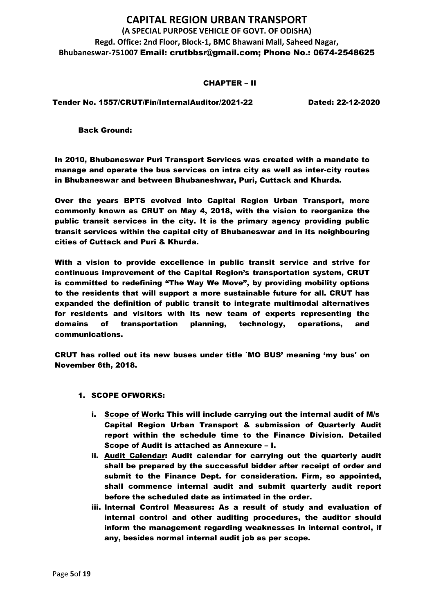#### CHAPTER – II

Tender No. 1557/CRUT/Fin/InternalAuditor/2021-22 Dated: 22-12-2020

Back Ground:

In 2010, Bhubaneswar Puri Transport Services was created with a mandate to manage and operate the bus services on intra city as well as inter-city routes in Bhubaneswar and between Bhubaneshwar, Puri, Cuttack and Khurda.

Over the years BPTS evolved into Capital Region Urban Transport, more commonly known as CRUT on May 4, 2018, with the vision to reorganize the public transit services in the city. It is the primary agency providing public transit services within the capital city of Bhubaneswar and in its neighbouring cities of Cuttack and Puri & Khurda.

With a vision to provide excellence in public transit service and strive for continuous improvement of the Capital Region's transportation system, CRUT is committed to redefining "The Way We Move", by providing mobility options to the residents that will support a more sustainable future for all. CRUT has expanded the definition of public transit to integrate multimodal alternatives for residents and visitors with its new team of experts representing the domains of transportation planning, technology, operations, and communications.

CRUT has rolled out its new buses under title `MO BUS' meaning 'my bus' on November 6th, 2018.

- 1. SCOPE OFWORKS:
	- i. Scope of Work: This will include carrying out the internal audit of M/s Capital Region Urban Transport & submission of Quarterly Audit report within the schedule time to the Finance Division. Detailed Scope of Audit is attached as Annexure – I.
	- ii. Audit Calendar: Audit calendar for carrying out the quarterly audit shall be prepared by the successful bidder after receipt of order and submit to the Finance Dept. for consideration. Firm, so appointed, shall commence internal audit and submit quarterly audit report before the scheduled date as intimated in the order.
	- iii. Internal Control Measures: As a result of study and evaluation of internal control and other auditing procedures, the auditor should inform the management regarding weaknesses in internal control, if any, besides normal internal audit job as per scope.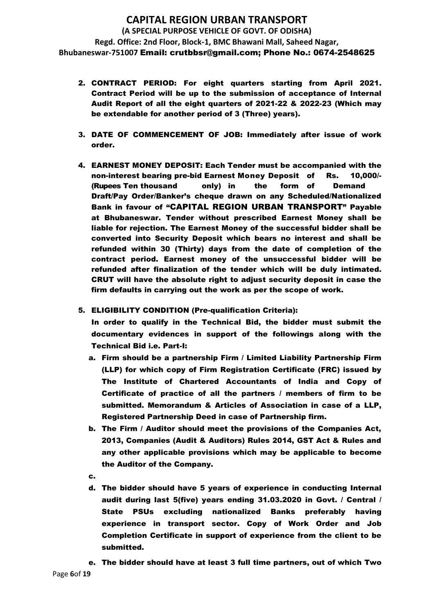- 2. CONTRACT PERIOD: For eight quarters starting from April 2021. Contract Period will be up to the submission of acceptance of Internal Audit Report of all the eight quarters of 2021-22 & 2022-23 (Which may be extendable for another period of 3 (Three) years).
- 3. DATE OF COMMENCEMENT OF JOB: Immediately after issue of work order.
- 4. EARNEST MONEY DEPOSIT: Each Tender must be accompanied with the non-interest bearing pre-bid Earnest Money Deposit of Rs. 10,000/- (Rupees Ten thousand only) in the form of Demand Draft/Pay Order/Banker's cheque drawn on any Scheduled/Nationalized Bank in favour of "CAPITAL REGION URBAN TRANSPORT" Payable at Bhubaneswar. Tender without prescribed Earnest Money shall be liable for rejection. The Earnest Money of the successful bidder shall be converted into Security Deposit which bears no interest and shall be refunded within 30 (Thirty) days from the date of completion of the contract period. Earnest money of the unsuccessful bidder will be refunded after finalization of the tender which will be duly intimated. CRUT will have the absolute right to adjust security deposit in case the firm defaults in carrying out the work as per the scope of work.
- 5. ELIGIBILITY CONDITION (Pre-qualification Criteria):

In order to qualify in the Technical Bid, the bidder must submit the documentary evidences in support of the followings along with the Technical Bid i.e. Part-I:

- a. Firm should be a partnership Firm / Limited Liability Partnership Firm (LLP) for which copy of Firm Registration Certificate (FRC) issued by The Institute of Chartered Accountants of India and Copy of Certificate of practice of all the partners / members of firm to be submitted. Memorandum & Articles of Association in case of a LLP, Registered Partnership Deed in case of Partnership firm.
- b. The Firm / Auditor should meet the provisions of the Companies Act, 2013, Companies (Audit & Auditors) Rules 2014, GST Act & Rules and any other applicable provisions which may be applicable to become the Auditor of the Company.
- c.
- d. The bidder should have 5 years of experience in conducting Internal audit during last 5(five) years ending 31.03.2020 in Govt. / Central / State PSUs excluding nationalized Banks preferably having experience in transport sector. Copy of Work Order and Job Completion Certificate in support of experience from the client to be submitted.
- e. The bidder should have at least 3 full time partners, out of which Two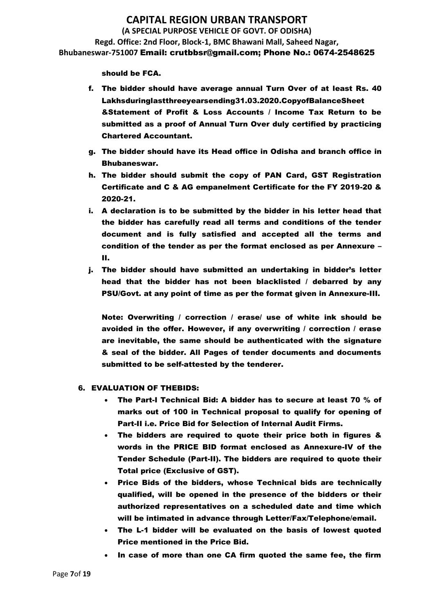should be FCA.

- f. The bidder should have average annual Turn Over of at least Rs. 40 Lakhsduringlastthreeyearsending31.03.2020.CopyofBalanceSheet &Statement of Profit & Loss Accounts / Income Tax Return to be submitted as a proof of Annual Turn Over duly certified by practicing Chartered Accountant.
- g. The bidder should have its Head office in Odisha and branch office in Bhubaneswar.
- h. The bidder should submit the copy of PAN Card, GST Registration Certificate and C & AG empanelment Certificate for the FY 2019-20 & 2020-21.
- i. A declaration is to be submitted by the bidder in his letter head that the bidder has carefully read all terms and conditions of the tender document and is fully satisfied and accepted all the terms and condition of the tender as per the format enclosed as per Annexure – II.
- j. The bidder should have submitted an undertaking in bidder's letter head that the bidder has not been blacklisted / debarred by any PSU/Govt. at any point of time as per the format given in Annexure-III.

Note: Overwriting / correction / erase/ use of white ink should be avoided in the offer. However, if any overwriting / correction / erase are inevitable, the same should be authenticated with the signature & seal of the bidder. All Pages of tender documents and documents submitted to be self-attested by the tenderer.

### 6. EVALUATION OF THEBIDS:

- The Part-I Technical Bid: A bidder has to secure at least 70 % of marks out of 100 in Technical proposal to qualify for opening of Part-II i.e. Price Bid for Selection of Internal Audit Firms.
- The bidders are required to quote their price both in figures & words in the PRICE BID format enclosed as Annexure-IV of the Tender Schedule (Part-II). The bidders are required to quote their Total price (Exclusive of GST).
- Price Bids of the bidders, whose Technical bids are technically qualified, will be opened in the presence of the bidders or their authorized representatives on a scheduled date and time which will be intimated in advance through Letter/Fax/Telephone/email.
- The L-1 bidder will be evaluated on the basis of lowest quoted Price mentioned in the Price Bid.
- In case of more than one CA firm quoted the same fee, the firm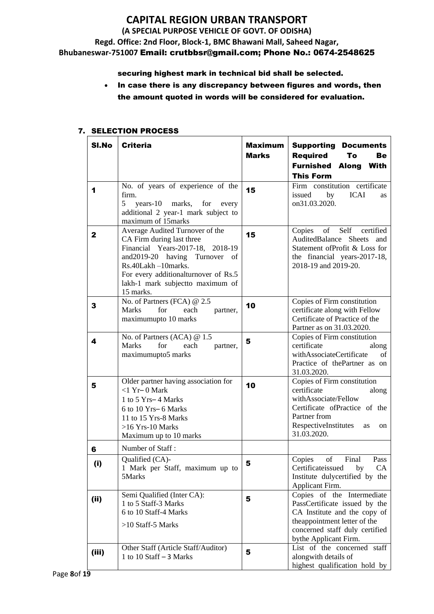### securing highest mark in technical bid shall be selected.

• In case there is any discrepancy between figures and words, then the amount quoted in words will be considered for evaluation.

#### SI.No | Criteria Maximum Marks Supporting Documents Required To Be Furnished Along With This Form 1 No. of years of experience of the firm.<br> $\frac{5}{5}$ years-10 marks, for every additional 2 year-1 mark subject to maximum of 15marks **15** Firm constitution certificate<br>issued by ICAI as issued on31.03.2020. 2 Average Audited Turnover of the CA Firm during last three Financial Years-2017-18, 2018-19 and2019-20 having Turnover of Rs.40Lakh –10marks. For every additionalturnover of Rs.5 lakh-1 mark subjectto maximum of 15 marks. 15 Copies of Self certified AuditedBalance Sheets and Statement ofProfit & Loss for the financial years-2017-18, 2018-19 and 2019-20. 3 No. of Partners (FCA) @ 2.5 Marks for each partner, maximumupto 10 marks 10 Copies of Firm constitution certificate along with Fellow Certificate of Practice of the Partner as on 31.03.2020. 4 No. of Partners (ACA) @ 1.5 Marks for each partner, maximumupto5 marks 5 Copies of Firm constitution certificate along withAssociateCertificate of Practice of thePartner as on 31.03.2020. 5 Older partner having association for <1 Yr– 0 Mark 1 to 5 Yrs– 4 Marks 6 to 10 Yrs– 6 Marks 11 to 15 Yrs-8 Marks >16 Yrs-10 Marks Maximum up to 10 marks 10 Copies of Firm constitution certificate along withAssociate/Fellow Certificate ofPractice of the Partner from RespectiveInstitutes as on 31.03.2020. 6 Number of Staff : (i) Qualified  $(CA)$ -1 Mark per Staff, maximum up to 5Marks 5 Copies of Final Pass Certificateissued by CA Institute dulycertified by the Applicant Firm. (ii) Semi Qualified (Inter CA): 1 to 5 Staff-3 Marks 6 to 10 Staff-4 Marks >10 Staff-5 Marks 5 Copies of the Intermediate PassCertificate issued by the CA Institute and the copy of theappointment letter of the concerned staff duly certified bythe Applicant Firm. (iii) Other Staff (Article Staff/Auditor) Utilier Staff (Article Staff/Address)  $\begin{bmatrix} 5 \end{bmatrix}$ List of the concerned staff alongwith details of highest qualification hold by

### 7. SELECTION PROCESS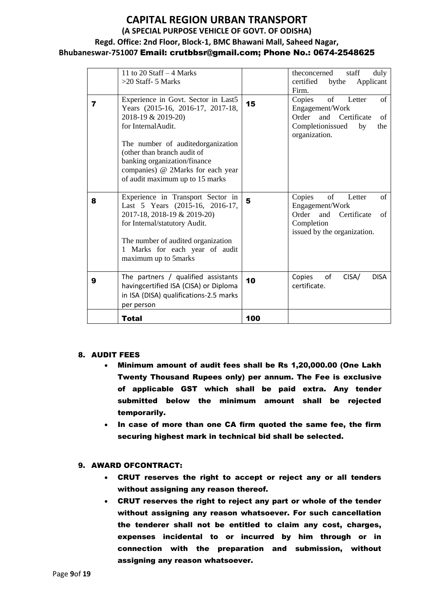# **CAPITAL REGION URBAN TRANSPORT (A SPECIAL PURPOSE VEHICLE OF GOVT. OF ODISHA) Regd. Office: 2nd Floor, Block-1, BMC Bhawani Mall, Saheed Nagar,**

### **Bhubaneswar-751007** Email: crutbbsr@gmail.com; Phone No.: 0674-2548625

|   | 11 to 20 Staff $-4$ Marks<br>$>20$ Staff- 5 Marks                                                                                                                                                                                                                                                |     | duly<br>theconcerned<br>staff<br>certified by the<br>Applicant<br>Firm.                                                          |
|---|--------------------------------------------------------------------------------------------------------------------------------------------------------------------------------------------------------------------------------------------------------------------------------------------------|-----|----------------------------------------------------------------------------------------------------------------------------------|
| 7 | Experience in Govt. Sector in Last5<br>Years (2015-16, 2016-17, 2017-18,<br>2018-19 & 2019-20)<br>for InternalAudit.<br>The number of auditedorganization<br>(other than branch audit of<br>banking organization/finance<br>companies) @ 2Marks for each year<br>of audit maximum up to 15 marks | 15  | of<br>of<br>Copies<br>Letter<br>Engagement/Work<br>Order and Certificate<br>of<br>Completionissued<br>by<br>the<br>organization. |
| 8 | Experience in Transport Sector in<br>Last 5 Years (2015-16, 2016-17,<br>2017-18, 2018-19 & 2019-20)<br>for Internal/statutory Audit.<br>The number of audited organization<br>1 Marks for each year of audit<br>maximum up to 5marks                                                             | 5   | Copies<br>of<br>of<br>Letter<br>Engagement/Work<br>Order and<br>Certificate<br>of<br>Completion<br>issued by the organization.   |
| 9 | The partners / qualified assistants<br>havingcertified ISA (CISA) or Diploma<br>in ISA (DISA) qualifications-2.5 marks<br>per person                                                                                                                                                             | 10  | <b>DISA</b><br>Copies<br>of<br>CISA/<br>certificate.                                                                             |
|   | Total                                                                                                                                                                                                                                                                                            | 100 |                                                                                                                                  |

#### 8. AUDIT FEES

- Minimum amount of audit fees shall be Rs 1,20,000.00 (One Lakh Twenty Thousand Rupees only) per annum. The Fee is exclusive of applicable GST which shall be paid extra. Any tender submitted below the minimum amount shall be rejected temporarily.
- In case of more than one CA firm quoted the same fee, the firm securing highest mark in technical bid shall be selected.

### 9. AWARD OFCONTRACT:

- CRUT reserves the right to accept or reject any or all tenders without assigning any reason thereof.
- CRUT reserves the right to reject any part or whole of the tender without assigning any reason whatsoever. For such cancellation the tenderer shall not be entitled to claim any cost, charges, expenses incidental to or incurred by him through or in connection with the preparation and submission, without assigning any reason whatsoever.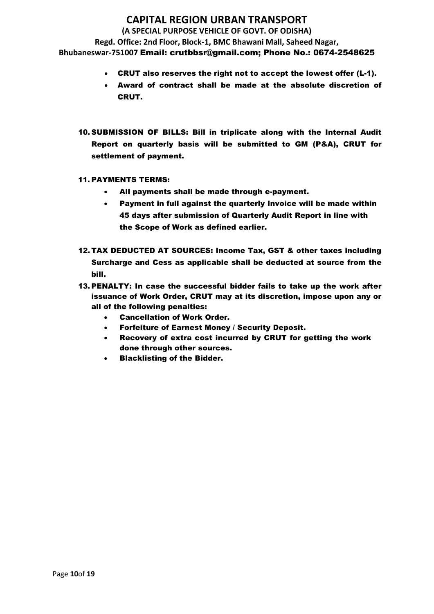# **CAPITAL REGION URBAN TRANSPORT**

**(A SPECIAL PURPOSE VEHICLE OF GOVT. OF ODISHA)**

**Regd. Office: 2nd Floor, Block-1, BMC Bhawani Mall, Saheed Nagar, Bhubaneswar-751007** Email: crutbbsr@gmail.com; Phone No.: 0674-2548625

- CRUT also reserves the right not to accept the lowest offer (L-1).
- Award of contract shall be made at the absolute discretion of CRUT.
- 10. SUBMISSION OF BILLS: Bill in triplicate along with the Internal Audit Report on quarterly basis will be submitted to GM (P&A), CRUT for settlement of payment.

### 11. PAYMENTS TERMS:

- All payments shall be made through e-payment.
- Payment in full against the quarterly Invoice will be made within 45 days after submission of Quarterly Audit Report in line with the Scope of Work as defined earlier.
- 12. TAX DEDUCTED AT SOURCES: Income Tax, GST & other taxes including Surcharge and Cess as applicable shall be deducted at source from the bill.
- 13. PENALTY: In case the successful bidder fails to take up the work after issuance of Work Order, CRUT may at its discretion, impose upon any or all of the following penalties:
	- Cancellation of Work Order.
	- Forfeiture of Earnest Money / Security Deposit.
	- Recovery of extra cost incurred by CRUT for getting the work done through other sources.
	- Blacklisting of the Bidder.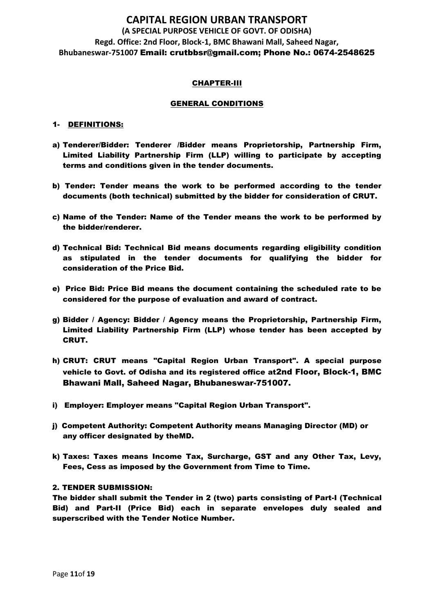#### CHAPTER-III

#### GENERAL CONDITIONS

#### 1- DEFINITIONS:

- a) Tenderer/Bidder: Tenderer /Bidder means Proprietorship, Partnership Firm, Limited Liability Partnership Firm (LLP) willing to participate by accepting terms and conditions given in the tender documents.
- b) Tender: Tender means the work to be performed according to the tender documents (both technical) submitted by the bidder for consideration of CRUT.
- c) Name of the Tender: Name of the Tender means the work to be performed by the bidder/renderer.
- d) Technical Bid: Technical Bid means documents regarding eligibility condition as stipulated in the tender documents for qualifying the bidder for consideration of the Price Bid.
- e) Price Bid: Price Bid means the document containing the scheduled rate to be considered for the purpose of evaluation and award of contract.
- g) Bidder / Agency: Bidder / Agency means the Proprietorship, Partnership Firm, Limited Liability Partnership Firm (LLP) whose tender has been accepted by CRUT.
- h) CRUT: CRUT means "Capital Region Urban Transport". A special purpose vehicle to Govt. of Odisha and its registered office at2nd Floor, Block-1, BMC Bhawani Mall, Saheed Nagar, Bhubaneswar-751007.
- i) Employer: Employer means "Capital Region Urban Transport".
- j) Competent Authority: Competent Authority means Managing Director (MD) or any officer designated by theMD.
- k) Taxes: Taxes means Income Tax, Surcharge, GST and any Other Tax, Levy, Fees, Cess as imposed by the Government from Time to Time.

#### 2. TENDER SUBMISSION:

The bidder shall submit the Tender in 2 (two) parts consisting of Part-I (Technical Bid) and Part-II (Price Bid) each in separate envelopes duly sealed and superscribed with the Tender Notice Number.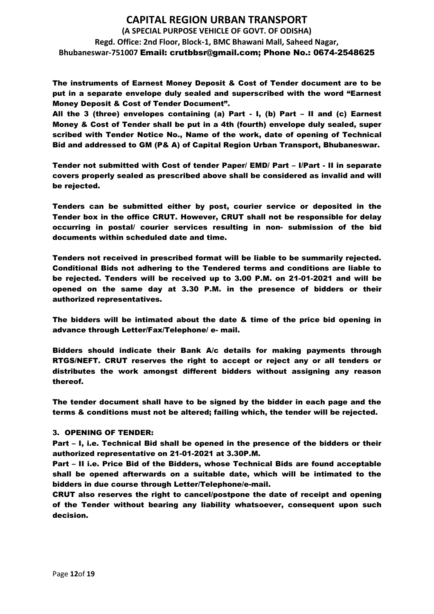The instruments of Earnest Money Deposit & Cost of Tender document are to be put in a separate envelope duly sealed and superscribed with the word "Earnest Money Deposit & Cost of Tender Document".

All the 3 (three) envelopes containing (a) Part - I, (b) Part – II and (c) Earnest Money & Cost of Tender shall be put in a 4th (fourth) envelope duly sealed, super scribed with Tender Notice No., Name of the work, date of opening of Technical Bid and addressed to GM (P& A) of Capital Region Urban Transport, Bhubaneswar.

Tender not submitted with Cost of tender Paper/ EMD/ Part – I/Part - II in separate covers properly sealed as prescribed above shall be considered as invalid and will be rejected.

Tenders can be submitted either by post, courier service or deposited in the Tender box in the office CRUT. However, CRUT shall not be responsible for delay occurring in postal/ courier services resulting in non- submission of the bid documents within scheduled date and time.

Tenders not received in prescribed format will be liable to be summarily rejected. Conditional Bids not adhering to the Tendered terms and conditions are liable to be rejected. Tenders will be received up to 3.00 P.M. on 21-01-2021 and will be opened on the same day at 3.30 P.M. in the presence of bidders or their authorized representatives.

The bidders will be intimated about the date & time of the price bid opening in advance through Letter/Fax/Telephone/ e- mail.

Bidders should indicate their Bank A/c details for making payments through RTGS/NEFT. CRUT reserves the right to accept or reject any or all tenders or distributes the work amongst different bidders without assigning any reason thereof.

The tender document shall have to be signed by the bidder in each page and the terms & conditions must not be altered; failing which, the tender will be rejected.

### 3. OPENING OF TENDER:

Part – I, i.e. Technical Bid shall be opened in the presence of the bidders or their authorized representative on 21-01-2021 at 3.30P.M.

Part – II i.e. Price Bid of the Bidders, whose Technical Bids are found acceptable shall be opened afterwards on a suitable date, which will be intimated to the bidders in due course through Letter/Telephone/e-mail.

CRUT also reserves the right to cancel/postpone the date of receipt and opening of the Tender without bearing any liability whatsoever, consequent upon such decision.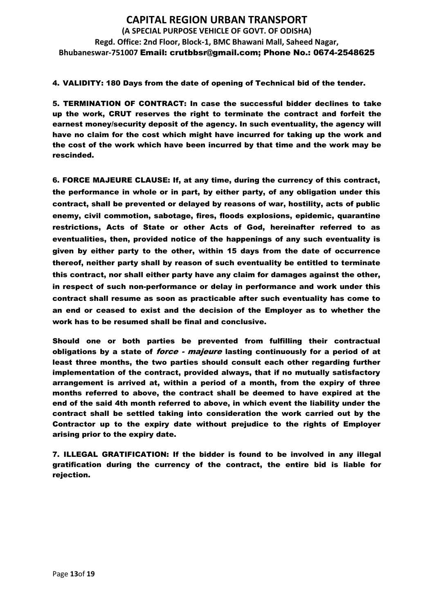4. VALIDITY: 180 Days from the date of opening of Technical bid of the tender.

5. TERMINATION OF CONTRACT: In case the successful bidder declines to take up the work, CRUT reserves the right to terminate the contract and forfeit the earnest money/security deposit of the agency. In such eventuality, the agency will have no claim for the cost which might have incurred for taking up the work and the cost of the work which have been incurred by that time and the work may be rescinded.

6. FORCE MAJEURE CLAUSE: If, at any time, during the currency of this contract, the performance in whole or in part, by either party, of any obligation under this contract, shall be prevented or delayed by reasons of war, hostility, acts of public enemy, civil commotion, sabotage, fires, floods explosions, epidemic, quarantine restrictions, Acts of State or other Acts of God, hereinafter referred to as eventualities, then, provided notice of the happenings of any such eventuality is given by either party to the other, within 15 days from the date of occurrence thereof, neither party shall by reason of such eventuality be entitled to terminate this contract, nor shall either party have any claim for damages against the other, in respect of such non-performance or delay in performance and work under this contract shall resume as soon as practicable after such eventuality has come to an end or ceased to exist and the decision of the Employer as to whether the work has to be resumed shall be final and conclusive.

Should one or both parties be prevented from fulfilling their contractual obligations by a state of *force - majeure* lasting continuously for a period of at least three months, the two parties should consult each other regarding further implementation of the contract, provided always, that if no mutually satisfactory arrangement is arrived at, within a period of a month, from the expiry of three months referred to above, the contract shall be deemed to have expired at the end of the said 4th month referred to above, in which event the liability under the contract shall be settled taking into consideration the work carried out by the Contractor up to the expiry date without prejudice to the rights of Employer arising prior to the expiry date.

7. ILLEGAL GRATIFICATION: If the bidder is found to be involved in any illegal gratification during the currency of the contract, the entire bid is liable for rejection.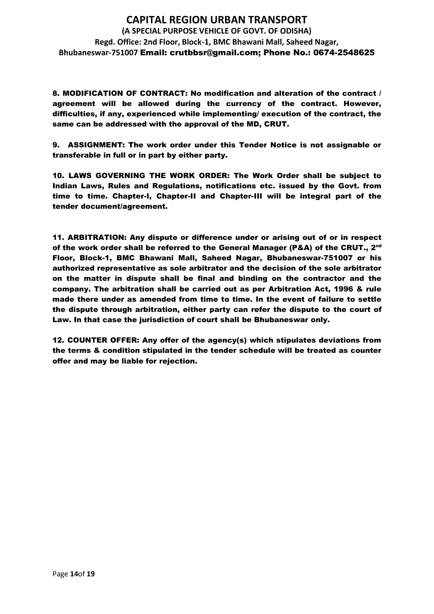8. MODIFICATION OF CONTRACT: No modification and alteration of the contract / agreement will be allowed during the currency of the contract. However, difficulties, if any, experienced while implementing/ execution of the contract, the same can be addressed with the approval of the MD, CRUT.

9. ASSIGNMENT: The work order under this Tender Notice is not assignable or transferable in full or in part by either party.

10. LAWS GOVERNING THE WORK ORDER: The Work Order shall be subject to Indian Laws, Rules and Regulations, notifications etc. issued by the Govt. from time to time. Chapter-I, Chapter-II and Chapter-III will be integral part of the tender document/agreement.

11. ARBITRATION: Any dispute or difference under or arising out of or in respect of the work order shall be referred to the General Manager (P&A) of the CRUT.,  $2^{\mathsf{nd}}$ Floor, Block-1, BMC Bhawani Mall, Saheed Nagar, Bhubaneswar-751007 or his authorized representative as sole arbitrator and the decision of the sole arbitrator on the matter in dispute shall be final and binding on the contractor and the company. The arbitration shall be carried out as per Arbitration Act, 1996 & rule made there under as amended from time to time. In the event of failure to settle the dispute through arbitration, either party can refer the dispute to the court of Law. In that case the jurisdiction of court shall be Bhubaneswar only.

12. COUNTER OFFER: Any offer of the agency(s) which stipulates deviations from the terms & condition stipulated in the tender schedule will be treated as counter offer and may be liable for rejection.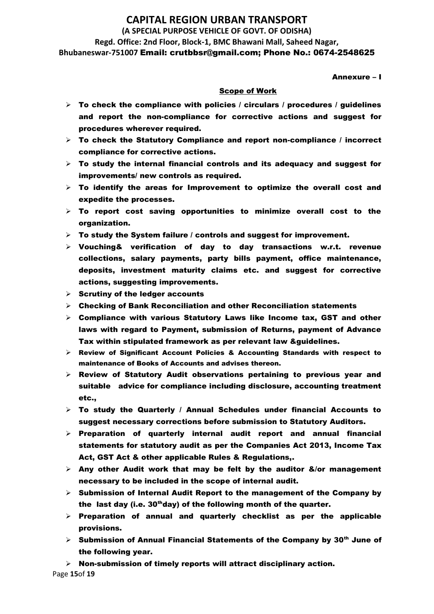Annexure – I

#### Scope of Work

- $\triangleright$  To check the compliance with policies / circulars / procedures / guidelines and report the non-compliance for corrective actions and suggest for procedures wherever required.
- $\triangleright$  To check the Statutory Compliance and report non-compliance / incorrect compliance for corrective actions.
- $\triangleright$  To study the internal financial controls and its adequacy and suggest for improvements/ new controls as required.
- $\triangleright$  To identify the areas for Improvement to optimize the overall cost and expedite the processes.
- $\triangleright$  To report cost saving opportunities to minimize overall cost to the organization.
- $\triangleright$  To study the System failure / controls and suggest for improvement.
- ➢ Vouching& verification of day to day transactions w.r.t. revenue collections, salary payments, party bills payment, office maintenance, deposits, investment maturity claims etc. and suggest for corrective actions, suggesting improvements.
- $\triangleright$  Scrutiny of the ledger accounts
- $\triangleright$  Checking of Bank Reconciliation and other Reconciliation statements
- $\triangleright$  Compliance with various Statutory Laws like Income tax, GST and other laws with regard to Payment, submission of Returns, payment of Advance Tax within stipulated framework as per relevant law &guidelines.
- $\triangleright$  Review of Significant Account Policies & Accounting Standards with respect to maintenance of Books of Accounts and advises thereon.
- $\triangleright$  Review of Statutory Audit observations pertaining to previous year and suitable advice for compliance including disclosure, accounting treatment etc.,
- ➢ To study the Quarterly / Annual Schedules under financial Accounts to suggest necessary corrections before submission to Statutory Auditors.
- $\triangleright$  Preparation of quarterly internal audit report and annual financial statements for statutory audit as per the Companies Act 2013, Income Tax Act, GST Act & other applicable Rules & Regulations,.
- $\triangleright$  Any other Audit work that may be felt by the auditor &/or management necessary to be included in the scope of internal audit.
- $\triangleright$  Submission of Internal Audit Report to the management of the Company by the last day (i.e.  $30<sup>th</sup>$ day) of the following month of the quarter.
- $\triangleright$  Preparation of annual and quarterly checklist as per the applicable provisions.
- $\triangleright$  Submission of Annual Financial Statements of the Company by 30<sup>th</sup> June of the following year.

 $\triangleright$  Non-submission of timely reports will attract disciplinary action.

Page **15**of **19**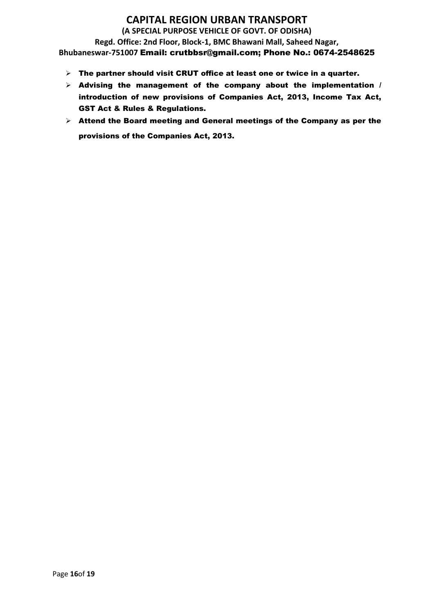- $\triangleright$  The partner should visit CRUT office at least one or twice in a quarter.
- $\triangleright$  Advising the management of the company about the implementation / introduction of new provisions of Companies Act, 2013, Income Tax Act, GST Act & Rules & Regulations.
- ➢ Attend the Board meeting and General meetings of the Company as per the provisions of the Companies Act, 2013.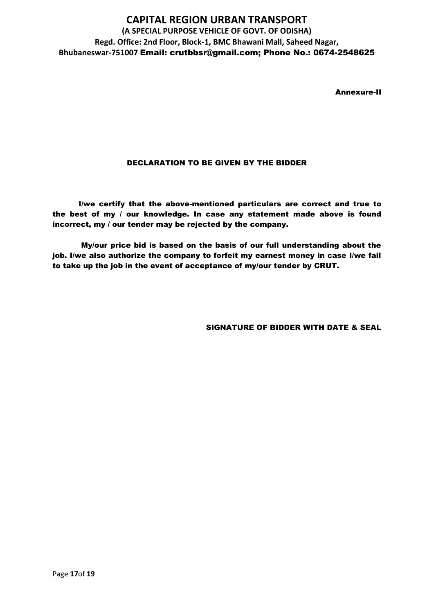Annexure-II

### DECLARATION TO BE GIVEN BY THE BIDDER

I/we certify that the above-mentioned particulars are correct and true to the best of my / our knowledge. In case any statement made above is found incorrect, my / our tender may be rejected by the company.

My/our price bid is based on the basis of our full understanding about the job. I/we also authorize the company to forfeit my earnest money in case I/we fail to take up the job in the event of acceptance of my/our tender by CRUT.

SIGNATURE OF BIDDER WITH DATE & SEAL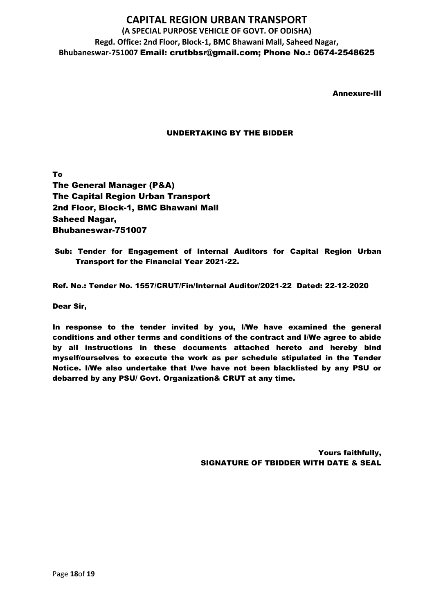Annexure-III

### UNDERTAKING BY THE BIDDER

To The General Manager (P&A) The Capital Region Urban Transport 2nd Floor, Block-1, BMC Bhawani Mall Saheed Nagar, Bhubaneswar-751007

Sub: Tender for Engagement of Internal Auditors for Capital Region Urban Transport for the Financial Year 2021-22.

Ref. No.: Tender No. 1557/CRUT/Fin/Internal Auditor/2021-22 Dated: 22-12-2020

Dear Sir,

In response to the tender invited by you, I/We have examined the general conditions and other terms and conditions of the contract and I/We agree to abide by all instructions in these documents attached hereto and hereby bind myself/ourselves to execute the work as per schedule stipulated in the Tender Notice. I/We also undertake that I/we have not been blacklisted by any PSU or debarred by any PSU/ Govt. Organization& CRUT at any time.

> Yours faithfully, SIGNATURE OF TBIDDER WITH DATE & SEAL